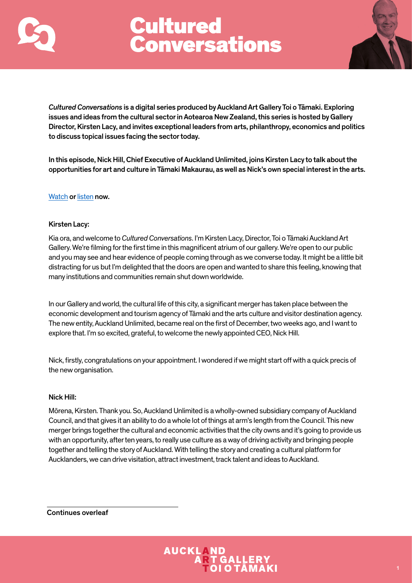



*Cultured Conversations* is a digital series produced by Auckland Art Gallery Toi o Tāmaki. Exploring issues and ideas from the cultural sector in Aotearoa New Zealand, this series is hosted by Gallery Director, Kirsten Lacy, and invites exceptional leaders from arts, philanthropy, economics and politics to discuss topical issues facing the sector today.

In this episode, Nick Hill, Chief Executive of Auckland Unlimited, joins Kirsten Lacy to talk about the opportunities for art and culture in Tāmaki Makaurau, as well as Nick's own special interest in the arts.

## [Watch](https://www.aucklandartgallery.com/page/cultured-conversations-with-nick-hill) or [listen](https://www.aucklandartgallery.com/page/cultured-conversations-with-nick-hill) now.

## Kirsten Lacy:

Kia ora, and welcome to *Cultured Conversations*. I'm Kirsten Lacy, Director, Toi o Tāmaki Auckland Art Gallery. We're filming for the first time in this magnificent atrium of our gallery. We're open to our public and you may see and hear evidence of people coming through as we converse today. It might be a little bit distracting for us but I'm delighted that the doors are open and wanted to share this feeling, knowing that many institutions and communities remain shut down worldwide.

In our Gallery and world, the cultural life of this city, a significant merger has taken place between the economic development and tourism agency of Tāmaki and the arts culture and visitor destination agency. The new entity, Auckland Unlimited, became real on the first of December, two weeks ago, and I want to explore that. I'm so excited, grateful, to welcome the newly appointed CEO, Nick Hill.

Nick, firstly, congratulations on your appointment. I wondered if we might start off with a quick precis of the new organisation.

## Nick Hill:

Mōrena, Kirsten. Thank you. So, Auckland Unlimited is a wholly-owned subsidiary company of Auckland Council, and that gives it an ability to do a whole lot of things at arm's length from the Council. This new merger brings together the cultural and economic activities that the city owns and it's going to provide us with an opportunity, after ten years, to really use culture as a way of driving activity and bringing people together and telling the story of Auckland. With telling the story and creating a cultural platform for Aucklanders, we can drive visitation, attract investment, track talent and ideas to Auckland.

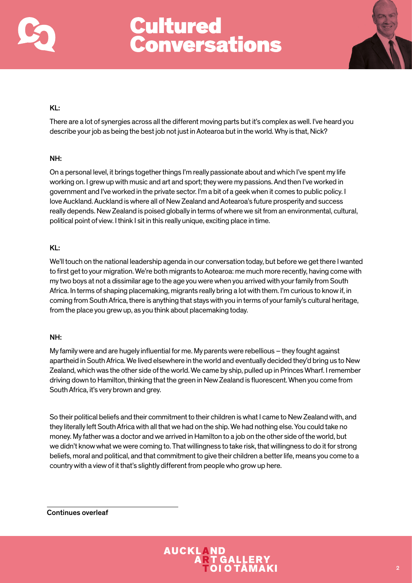



## KL:

There are a lot of synergies across all the different moving parts but it's complex as well. I've heard you describe your job as being the best job not just in Aotearoa but in the world. Why is that, Nick?

## NH:

On a personal level, it brings together things I'm really passionate about and which I've spent my life working on. I grew up with music and art and sport; they were my passions. And then I've worked in government and I've worked in the private sector. I'm a bit of a geek when it comes to public policy. I love Auckland. Auckland is where all of New Zealand and Aotearoa's future prosperity and success really depends. New Zealand is poised globally in terms of where we sit from an environmental, cultural, political point of view. I think I sit in this really unique, exciting place in time.

## KL:

We'll touch on the national leadership agenda in our conversation today, but before we get there I wanted to first get to your migration. We're both migrants to Aotearoa: me much more recently, having come with my two boys at not a dissimilar age to the age you were when you arrived with your family from South Africa. In terms of shaping placemaking, migrants really bring a lot with them. I'm curious to know if, in coming from South Africa, there is anything that stays with you in terms of your family's cultural heritage, from the place you grew up, as you think about placemaking today.

## NH:

My family were and are hugely influential for me. My parents were rebellious – they fought against apartheid in South Africa. We lived elsewhere in the world and eventually decided they'd bring us to New Zealand, which was the other side of the world. We came by ship, pulled up in Princes Wharf. I remember driving down to Hamilton, thinking that the green in New Zealand is fluorescent. When you come from South Africa, it's very brown and grey.

So their political beliefs and their commitment to their children is what I came to New Zealand with, and they literally left South Africa with all that we had on the ship. We had nothing else. You could take no money. My father was a doctor and we arrived in Hamilton to a job on the other side of the world, but we didn't know what we were coming to. That willingness to take risk, that willingness to do it for strong beliefs, moral and political, and that commitment to give their children a better life, means you come to a country with a view of it that's slightly different from people who grow up here.

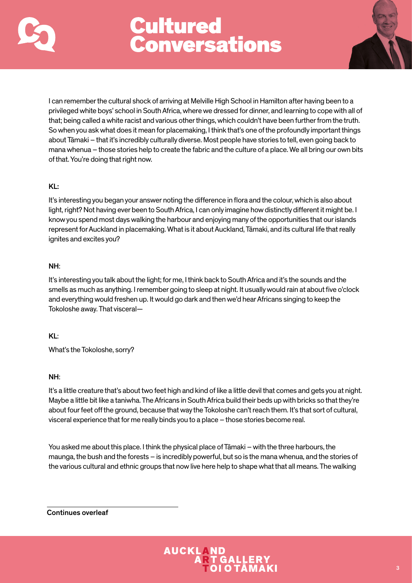



I can remember the cultural shock of arriving at Melville High School in Hamilton after having been to a privileged white boys' school in South Africa, where we dressed for dinner, and learning to cope with all of that; being called a white racist and various other things, which couldn't have been further from the truth. So when you ask what does it mean for placemaking, I think that's one of the profoundly important things about Tāmaki – that it's incredibly culturally diverse. Most people have stories to tell, even going back to mana whenua – those stories help to create the fabric and the culture of a place. We all bring our own bits of that. You're doing that right now.

## KL:

It's interesting you began your answer noting the difference in flora and the colour, which is also about light, right? Not having ever been to South Africa, I can only imagine how distinctly different it might be. I know you spend most days walking the harbour and enjoying many of the opportunities that our islands represent for Auckland in placemaking. What is it about Auckland, Tāmaki, and its cultural life that really ignites and excites you?

## NH:

It's interesting you talk about the light; for me, I think back to South Africa and it's the sounds and the smells as much as anything. I remember going to sleep at night. It usually would rain at about five o'clock and everything would freshen up. It would go dark and then we'd hear Africans singing to keep the Tokoloshe away. That visceral—

## KL:

What's the Tokoloshe, sorry?

## NH:

It's a little creature that's about two feet high and kind of like a little devil that comes and gets you at night. Maybe a little bit like a taniwha. The Africans in South Africa build their beds up with bricks so that they're about four feet off the ground, because that way the Tokoloshe can't reach them. It's that sort of cultural, visceral experience that for me really binds you to a place – those stories become real.

You asked me about this place. I think the physical place of Tāmaki – with the three harbours, the maunga, the bush and the forests – is incredibly powerful, but so is the mana whenua, and the stories of the various cultural and ethnic groups that now live here help to shape what that all means. The walking

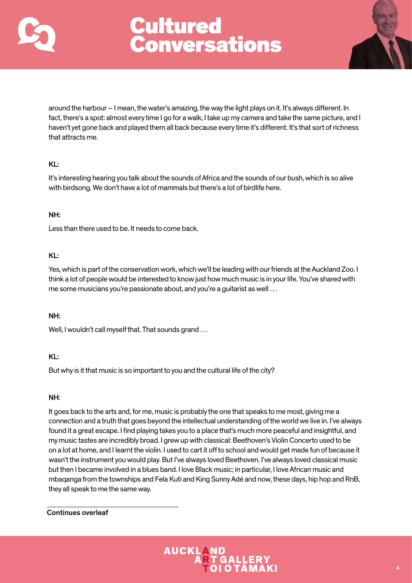



around the harbour – I mean, the water's amazing, the way the light plays on it. It's always different. In fact, there's a spot: almost every time I go for a walk, I take up my camera and take the same picture, and I haven't yet gone back and played them all back because every time it's different. It's that sort of richness that attracts me.

## KL:

It's interesting hearing you talk about the sounds of Africa and the sounds of our bush, which is so alive with birdsong. We don't have a lot of mammals but there's a lot of birdlife here.

## NH:

Less than there used to be. It needs to come back.

## KL:

Yes, which is part of the conservation work, which we'll be leading with our friends at the Auckland Zoo. I think a lot of people would be interested to know just how much music is in your life. You've shared with me some musicians you're passionate about, and you're a guitarist as well . . .

## NH:

Well, I wouldn't call myself that. That sounds grand ...

## KL:

But why is it that music is so important to you and the cultural life of the city?

## NH:

It goes back to the arts and, for me, music is probably the one that speaks to me most, giving me a connection and a truth that goes beyond the intellectual understanding of the world we live in. I've always found it a great escape. I find playing takes you to a place that's much more peaceful and insightful, and my music tastes are incredibly broad. I grew up with classical: Beethoven's Violin Concerto used to be on a lot at home, and I learnt the violin. I used to cart it off to school and would get made fun of because it wasn't the instrument you would play. But I've always loved Beethoven. I've always loved classical music but then I became involved in a blues band. I love Black music; in particular, I love African music and mbaqanga from the townships and Fela Kuti and King Sunny Adé and now, these days, hip hop and RnB, they all speak to me the same way.

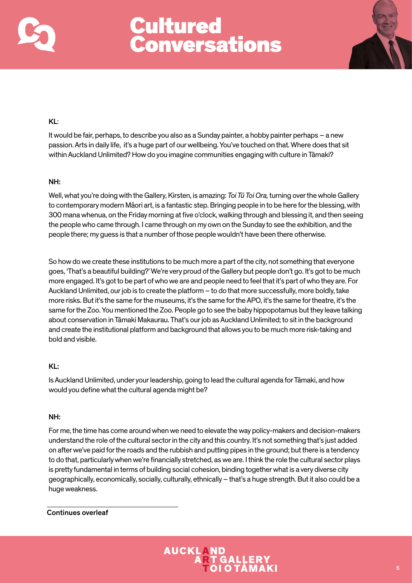



## KL:

It would be fair, perhaps, to describe you also as a Sunday painter, a hobby painter perhaps – a new passion. Arts in daily life, it's a huge part of our wellbeing. You've touched on that. Where does that sit within Auckland Unlimited? How do you imagine communities engaging with culture in Tāmaki?

## NH:

Well, what you're doing with the Gallery, Kirsten, is amazing: *Toi Tū Toi Ora,* turning over the whole Gallery to contemporary modern Māori art, is a fantastic step. Bringing people in to be here for the blessing, with 300 mana whenua, on the Friday morning at five o'clock, walking through and blessing it, and then seeing the people who came through. I came through on my own on the Sunday to see the exhibition, and the people there; my guess is that a number of those people wouldn't have been there otherwise.

So how do we create these institutions to be much more a part of the city, not something that everyone goes, 'That's a beautiful building?' We're very proud of the Gallery but people don't go. It's got to be much more engaged. It's got to be part of who we are and people need to feel that it's part of who they are. For Auckland Unlimited, our job is to create the platform – to do that more successfully, more boldly, take more risks. But it's the same for the museums, it's the same for the APO, it's the same for theatre, it's the same for the Zoo. You mentioned the Zoo. People go to see the baby hippopotamus but they leave talking about conservation in Tāmaki Makaurau. That's our job as Auckland Unlimited; to sit in the background and create the institutional platform and background that allows you to be much more risk-taking and bold and visible.

## KL:

Is Auckland Unlimited, under your leadership, going to lead the cultural agenda for Tāmaki, and how would you define what the cultural agenda might be?

## NH:

For me, the time has come around when we need to elevate the way policy-makers and decision-makers understand the role of the cultural sector in the city and this country. It's not something that's just added on after we've paid for the roads and the rubbish and putting pipes in the ground; but there is a tendency to do that, particularly when we're financially stretched, as we are. I think the role the cultural sector plays is pretty fundamental in terms of building social cohesion, binding together what is a very diverse city geographically, economically, socially, culturally, ethnically – that's a huge strength. But it also could be a huge weakness.

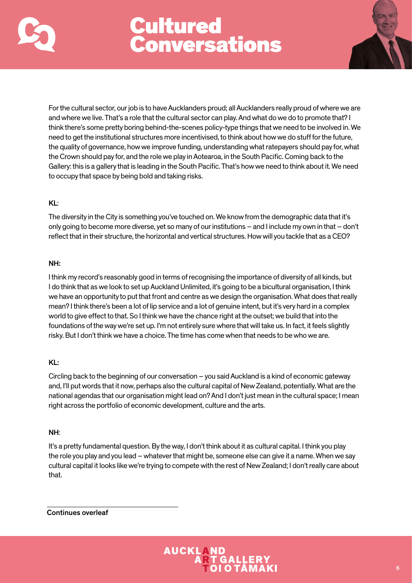



For the cultural sector, our job is to have Aucklanders proud; all Aucklanders really proud of where we are and where we live. That's a role that the cultural sector can play. And what do we do to promote that? I think there's some pretty boring behind-the-scenes policy-type things that we need to be involved in. We need to get the institutional structures more incentivised, to think about how we do stuff for the future, the quality of governance, how we improve funding, understanding what ratepayers should pay for, what the Crown should pay for, and the role we play in Aotearoa, in the South Pacific. Coming back to the Gallery: this is a gallery that is leading in the South Pacific. That's how we need to think about it. We need to occupy that space by being bold and taking risks.

## KL:

The diversity in the City is something you've touched on. We know from the demographic data that it's only going to become more diverse, yet so many of our institutions – and I include my own in that – don't reflect that in their structure, the horizontal and vertical structures. How will you tackle that as a CEO?

## NH:

I think my record's reasonably good in terms of recognising the importance of diversity of all kinds, but I do think that as we look to set up Auckland Unlimited, it's going to be a bicultural organisation, I think we have an opportunity to put that front and centre as we design the organisation. What does that really mean? I think there's been a lot of lip service and a lot of genuine intent, but it's very hard in a complex world to give effect to that. So I think we have the chance right at the outset; we build that into the foundations of the way we're set up. I'm not entirely sure where that will take us. In fact, it feels slightly risky. But I don't think we have a choice. The time has come when that needs to be who we are.

## KL:

Circling back to the beginning of our conversation – you said Auckland is a kind of economic gateway and, I'll put words that it now, perhaps also the cultural capital of New Zealand, potentially. What are the national agendas that our organisation might lead on? And I don't just mean in the cultural space; I mean right across the portfolio of economic development, culture and the arts.

## NH:

It's a pretty fundamental question. By the way, I don't think about it as cultural capital. I think you play the role you play and you lead – whatever that might be, someone else can give it a name. When we say cultural capital it looks like we're trying to compete with the rest of New Zealand; I don't really care about that.

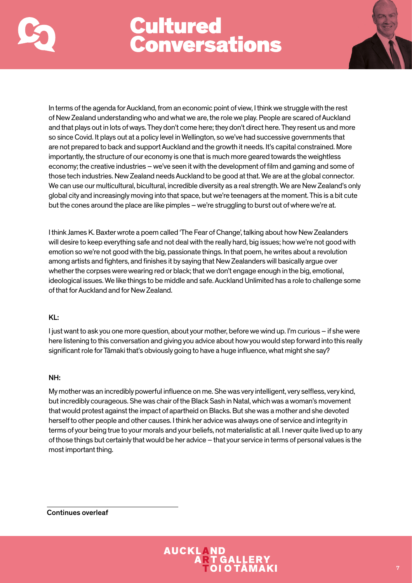



In terms of the agenda for Auckland, from an economic point of view, I think we struggle with the rest of New Zealand understanding who and what we are, the role we play. People are scared of Auckland and that plays out in lots of ways. They don't come here; they don't direct here. They resent us and more so since Covid. It plays out at a policy level in Wellington, so we've had successive governments that are not prepared to back and support Auckland and the growth it needs. It's capital constrained. More importantly, the structure of our economy is one that is much more geared towards the weightless economy; the creative industries – we've seen it with the development of film and gaming and some of those tech industries. New Zealand needs Auckland to be good at that. We are at the global connector. We can use our multicultural, bicultural, incredible diversity as a real strength. We are New Zealand's only global city and increasingly moving into that space, but we're teenagers at the moment. This is a bit cute but the cones around the place are like pimples – we're struggling to burst out of where we're at.

I think James K. Baxter wrote a poem called 'The Fear of Change', talking about how New Zealanders will desire to keep everything safe and not deal with the really hard, big issues; how we're not good with emotion so we're not good with the big, passionate things. In that poem, he writes about a revolution among artists and fighters, and finishes it by saying that New Zealanders will basically argue over whether the corpses were wearing red or black; that we don't engage enough in the big, emotional, ideological issues. We like things to be middle and safe. Auckland Unlimited has a role to challenge some of that for Auckland and for New Zealand.

## KL:

I just want to ask you one more question, about your mother, before we wind up. I'm curious – if she were here listening to this conversation and giving you advice about how you would step forward into this really significant role for Tāmaki that's obviously going to have a huge influence, what might she say?

## NH:

My mother was an incredibly powerful influence on me. She was very intelligent, very selfless, very kind, but incredibly courageous. She was chair of the Black Sash in Natal, which was a woman's movement that would protest against the impact of apartheid on Blacks. But she was a mother and she devoted herself to other people and other causes. I think her advice was always one of service and integrity in terms of your being true to your morals and your beliefs, not materialistic at all. I never quite lived up to any of those things but certainly that would be her advice – that your service in terms of personal values is the most important thing.